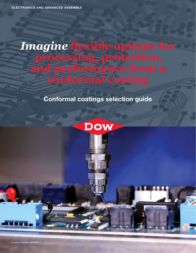# *Imagine* **flexible options for processing, protection, and performance from a conformal coating**

## **Conformal coatings selection guide**

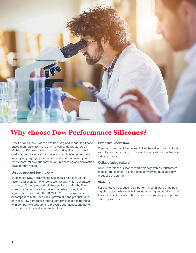

## **Why choose Dow Performance Silicones?**

Dow Performance Silicones has been a global leader in siliconebased technology for more than 70 years. Headquartered in Michigan, USA, we maintain manufacturing sites, sales and customer service offices, and research and development labs in every major geographic market worldwide to ensure you receive fast, reliable support for your processing and application development needs.

### **Unique product technology**

To describe Dow Performance Silicones is to describe the history and evolution of silicone technology, which generated a legacy of innovative and reliable products under the Dow Corning label for more than seven decades. Today that legacy continues under the DOWSIL™ brand name, which encompasses more than 7,000 proven silicone products and services. Few companies offer a conformal coatings portfolio with comparable breadth and proven performance, and none match our history in silicone technology.

### **Extensive know-how**

Dow Performance Silicones multiplies the value of its products with deep in-house expertise as well as an extended network of industry resources.

### **Collaborative culture**

Dow Performance Silicones works closely with our customers to help reduce time, risk, and cost at every stage of your new product development.

### **Stability**

For over seven decades, Dow Performance Silicones has been a global leader, who invests in manufacturing and quality to help fuel customer innovation through a consistent supply of proven silicone products.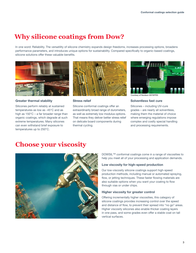## **Why silicone coatings from Dow?**

In one word: Reliability. The versatility of silicone chemistry expands design freedoms, increases processing options, broadens performance parameters, and introduces unique options for sustainability. Compared specifically to organic-based coatings, silicone solutions offer these valuable benefits.



**Greater thermal stability** 

Silicones perform reliably at sustained temperatures as low as -45°C and as high as 150°C – a far broader range than organic coatings, which degrade at such extreme temperatures. Many silicones can even withstand brief exposure to temperatures up to 250°C.



### **Stress relief**

Silicone conformal coatings offer an extraordinarily broad range of durometers, as well as extremely low modulus options. That means they deliver better stress relief on delicate board components during thermal cycling.



Courtesy of Nordson ASYMTEK

### **Solventless fast cure**

Silicones – including UV-cure grades – are nearly all solventless, making them the material of choice where emerging regulations impose complex and costly special handling and processing requirements.

### **Choose your viscosity**



DOWSIL™ conformal coatings come in a range of viscosities to help you meet all of your processing and application demands.

### **Low viscosity for high-speed production**

Our low-viscosity silicone coatings support high-speed production methods, including manual or automated spraying, flow, or jetting techniques. These faster flowing materials are also suitable options when you want your coating to flow through vias or under chips.

### **Higher viscosity for greater control**

Offering incrementally higher viscosities, this category of silicone coatings provides increasing control over the speed and distance of flow, to prevent their spread into "no go" areas. Higher viscosity silicones also enable thicker coating layers in one pass, and some grades even offer a stable coat on tall vertical surfaces.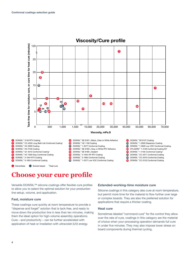

### **Viscosity/Cure profile**

## **Choose your cure profile**

Versatile DOWSIL™ silicone coatings offer flexible cure profiles to allow you to select the optimal solution for your production line setup, volume, and application.

### **Fast, moisture cure**

These coatings cure quickly at room temperature to provide a "dispense and forget" solution that is tack-free, and ready to move down the production line in less than ten minutes, making them the ideal option for high-volume assembly operations. Cure – and productivity – can be further accelerated with application of heat or irradiation with ultraviolet (UV) energy.

### **Extended-working-time moisture cure**

Silicone coatings in this category also cure at room temperature, but permit more time for the material to flow further over large or complex boards. They are also the preferred solution for applications that require a thicker coating.

### **Heat cure**

Sometimes labeled "command cure" for the control they allow over the rate of cure, coatings in this category are the material of choice when your processing operation demands full cure in under five minutes. They may also impose lower stress on board components during thermal cycling.

 $\boldsymbol{a}$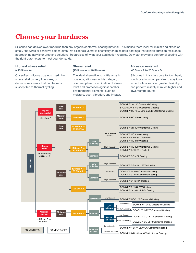## **Choose your hardness**

Silicones can deliver lower modulus than any organic conformal coating material. This makes them ideal for minimizing stress on small, fine wires or sensitive solder joints. Yet silicone's versatile chemistry enables hard coatings that exhibit abrasion resistance, approaching acrylic or urethane solutions. Regardless of what your application requires, Dow can provide a conformal coating with the right durometers to meet your demands.

### **Highest stress relief (<15 Shore A)**

Our softest silicone coatings maximize stress relief on very fine wires, or dense components that can be most susceptible to thermal cycling.

### **Stress relief (15 Shore A to 40 Shore A)**

The ideal alternative to brittle organic coatings, silicones in this category offer an optimal combination of stress relief and protection against harsher environmental elements, such as moisture, dust, vibration, and impact.

### **Abrasion resistant (40 Shore A to 25 Shore D)**

Silicones in this class cure to form hard, tough coatings comparable to acrylics – except silicones offer greater flexibility, and perform reliably at much higher and lower temperatures.

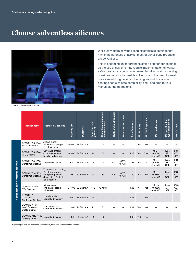## **Choose solventless silicones**



While Dow offers solvent-based elastoplastic coatings that mimic the hardness of acrylic, most of our silicone products are solventless.

This is becoming an important selection criterion for coatings, as the use of solvents may require implementation of worker safety protocols, special equipment, handling and processing considerations for flammable solvents, and the need to meet environmental regulations. Choosing solventless silicone coatings can eliminate complexity, cost, and time to your manufacturing operations.

Courtesy of Nordson ASYMTEK

|                                    | <b>Product name</b>                                   | <b>Features &amp; benefits</b>                                                                             | Viscosity, cP | <b>Durometer</b>  | time<br>Tack-free 1<br>(minutes) | cure<br>Room-temperature<br>time (minutes)* | Heat cure time (minutes) | Heat cure conditions      | Specific gravity | 94 rating<br>$\overline{5}$ | approval<br>ш<br>746<br>$\overline{5}$ | specification                 | class group<br><b>Mil specification</b><br>type, | <b>PC-CC test</b>  |
|------------------------------------|-------------------------------------------------------|------------------------------------------------------------------------------------------------------------|---------------|-------------------|----------------------------------|---------------------------------------------|--------------------------|---------------------------|------------------|-----------------------------|----------------------------------------|-------------------------------|--------------------------------------------------|--------------------|
| Solventless RTV conformal coatings | DOWSIL™ 3-1944<br><b>HP RTV Coating</b>               | Allows higher-<br>thickness coverage<br>in critical areas                                                  |               | 49,000 36 Shore A | 7                                | 60                                          |                          |                           | $\mathbf{1}$     | $V-0$                       | No                                     |                               |                                                  |                    |
|                                    | DOWSIL™ 3-1944<br><b>RTV Coating</b>                  | Coverage of taller<br>components, wire<br>bonds, and edges                                                 |               | 64.000 36 Shore A | 14                               | 60                                          |                          |                           | 1.03             | $V - 0$                     | Yes                                    | $MIL-I-$<br>46058C<br>Amend 7 | Type<br>SR.<br>QPL                               | IPC-<br>CC-<br>830 |
|                                    | DOWSIL™ 3-1953<br><b>Conformal Coating</b>            | Medium viscosity                                                                                           | 350           | 34 Shore A        | 8                                | 60                                          | 0.5                      | $60^{\circ}$ C/<br>15% RH | 0.98             | $V-0$                       | Yes                                    | $MIL-I-$<br>46058C<br>Amend 7 | Type<br>SR.<br>QPL                               | IPC-<br>CC-<br>830 |
|                                    | DOWSIL™ 3-1965<br><b>Conformal Coating</b>            | Thinner cured coating;<br>Greater coverage<br>area per kg; Faster<br>dispensing; Easier to<br>jet-dispense | 115           | 33 Shore A        | 6                                | 60                                          | 0.5                      | $60^{\circ}$ C/<br>15% RH | 0.99             | $V - 0$                     | <b>No</b>                              | $MIL-I-$<br>46058C<br>Amend 7 | <b>Type</b><br>SR.<br><b>QPL</b>                 | IPC-<br>CC-<br>830 |
|                                    | DOWSIL™ 3140<br><b>RTV Coating</b>                    | Allows higher<br>one-pass coating<br>thickness                                                             |               | 34,400 32 Shore A | 116                              | 72 hours                                    |                          |                           | 1.05             | $V-1$                       | Yes                                    | MIL-I-<br>46058C<br>Amend 7   | Type<br>SR,<br>QPL                               | IPC-<br>CC-<br>830 |
|                                    | <b>DOWSIL™</b><br>CC-3122<br><b>Conformal Coating</b> | Low viscosity;<br>Controlled volatility                                                                    | 80            | 75 Shore A        | 6                                |                                             |                          |                           | 1.03             |                             | <b>No</b>                              |                               |                                                  |                    |
|                                    | <b>DOWSIL™ HC</b><br>1000 Conformal<br>Coating, Gray  | High viscosity;<br>Controlled volatility                                                                   |               | 12,000 24 Shore A | 11                               | 30                                          |                          |                           | 1.07             | $V - 0$                     | <b>No</b>                              |                               |                                                  |                    |
|                                    | DOWSIL™ HC 1100<br>Coating, Gray                      | Controlled volatility                                                                                      | 2.375         | 22 Shore A        | 9                                | 30                                          |                          |                           | 1.08             | $V - 0$                     | <b>No</b>                              |                               |                                                  |                    |

\*Highly dependent on thickness, temperature, humidity, and other cure conditions.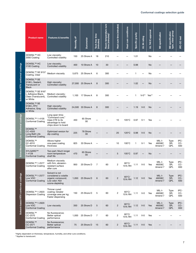|                                          | <b>Product name</b>                                                         | <b>Features &amp; benefits</b>                                                                    | ზ<br>Viscosity, | <b>Durometer</b> | Tack-free time<br>(minutes) | Room-temperature cure<br>time (minutes)* | time (minutes)<br>Heat cure | Heat cure conditions      | Specific gravity | UL 94 rating | E approval<br>746<br>$\overline{5}$ | Mil specification           | type, class group<br><b>Mil</b> specification | IPC-CC test        |
|------------------------------------------|-----------------------------------------------------------------------------|---------------------------------------------------------------------------------------------------|-----------------|------------------|-----------------------------|------------------------------------------|-----------------------------|---------------------------|------------------|--------------|-------------------------------------|-----------------------------|-----------------------------------------------|--------------------|
| Solventless RTV conformal coatings       | <b>DOWSIL™ HC</b><br>2000 Coating                                           | Low viscosity;<br>Controlled volatility                                                           | 150             | 25 Shore A       | 18                          | 210                                      |                             |                           | 1.01             |              | No                                  |                             |                                               |                    |
|                                          | <b>DOWSIL™ HC</b><br>2100 Coating                                           | Low viscosity;<br>Controlled volatility                                                           | 400             | 10 Shore A       | 10                          | 30                                       |                             |                           | 0.98             |              | <b>No</b>                           |                             |                                               |                    |
|                                          | DOWSIL™ SE 9157<br>Coating, Clear                                           | Medium viscosity                                                                                  | 5,675           | 25 Shore A       | 6                           | 300                                      |                             |                           | 1                |              | No                                  |                             |                                               |                    |
|                                          | DOWSIL <sup>™</sup> SE<br>9186 L Sealant,<br>Translucent or<br><b>Black</b> | High viscosity;<br>Controlled volatility                                                          | 27,000          | 25 Shore A       | 8                           | 300                                      |                             |                           | 1.02             |              | <b>No</b>                           |                             |                                               |                    |
|                                          | DOWSIL™ SE 9187<br>L Adhesive Black,<br>Clear (Translucent),<br>or White    | Medium viscosity;<br>Controlled volatility                                                        | 1,100           | 17 Shore A       | 8                           | 300                                      |                             |                           | 1                | $V - 0^{**}$ | Yes**                               |                             |                                               |                    |
|                                          | <b>DOWSIL™ SE</b><br>9189 L RTV<br>Adhesive, Gray<br>or White               | High viscosity;<br>Controlled volatility                                                          | 24,500          | 33 Shore A       | 8                           | 300                                      |                             |                           | 1.19             | $V - 0$      | <b>No</b>                           |                             |                                               |                    |
| Solventless heat cure conformal coatings | DOWSIL™ 1-4105<br>Conformal Coating                                         | Long open time;<br>"Command cure;"<br>Uses CTE to its<br>advantage to hold<br>chips down to board | 450             | 65 Shore<br>00   |                             |                                          | 10                          | $105^{\circ}$ C           | 0.97             | $V-1$        | Yes                                 |                             |                                               |                    |
|                                          | <b>DOWSIL™</b><br>CC-4555<br>Long Bath Life<br>Conformal Coating            | Optimized version for<br>dip-coating                                                              | 225             | 78 Shore<br>00   |                             |                                          | 20                          | $120^{\circ}$ C           | 0.98             | $V - 0$      | <b>No</b>                           |                             |                                               |                    |
|                                          | <b>DOWSIL™</b><br>Q1-4010<br>Conformal Coating                              | Allows higher<br>one-pass coating<br>thickness                                                    | 825             | 33 Shore A       |                             |                                          | 10                          | $100^{\circ}$ C           | $\mathbf{1}$     | $V-1$        | Yes                                 | MIL-I-<br>46058C<br>Amend 7 | Type<br>SR.<br>QPL                            | IPC-<br>CC-<br>830 |
|                                          | SYLGARD™<br>1-4128<br><b>Conformal Coating</b>                              | Two-part; Much longer<br>room-temperature<br>shelf life                                           | 470             | 65 Shore<br>00   |                             |                                          | $\sqrt{5}$                  | $105^{\circ}$ C           | 0.97             |              | <b>No</b>                           |                             |                                               |                    |
| Solvent-based RTV conformal coatings     | DOWSIL™ 1-2577<br>Contormal Coating                                         | Medium viscosity<br>with firm, abrasion-<br>resistant surface<br>after cure                       | 950             | 20 Shore D       | 7                           | 60                                       | $\overline{2}$              | $60^{\circ}$ C/<br>15% RH | 1.11             | $V-0$        | Yes                                 | MIL-I-<br>46058C<br>Amend 7 | Type<br>SR,<br>QPL                            | IPC-<br>CC-<br>830 |
|                                          | DOWSIL™ 1-2577<br>Low VOC<br><b>Conformal Coating</b>                       | Solvent is not<br>considered a volatile<br>organic compound;<br>Low odor; Not<br>ozone-depleting  | 1,050           | 25 Shore D       | $6\phantom{1}$              | 60                                       | $\overline{2}$              | $60^{\circ}$ C/<br>15% RH | 1.12             | $V-0$        | Yes                                 | MIL-I-<br>46058C<br>Amend 7 | Type<br>SR,<br>QPL                            | IPC-<br>CC-<br>830 |
|                                          | DOWSIL™ 1-2620<br><b>Dispersion Coating</b>                                 | Thinner cured<br>coating; Greater<br>coverage area per kg;<br>Faster dispensing                   | 150             | 25 Shore D       | 5                           | 60                                       | $\overline{c}$              | $60^{\circ}$ C/<br>15% RH | 1.11             | $V-0$        | Yes                                 | MIL-I-<br>46058C<br>Amend 7 | Type<br>SR,<br>QPL                            | IPC-<br>CC-<br>830 |
|                                          | DOWSIL™ 1-2620<br>Low VOC<br><b>Conformal Coating</b>                       | Low viscosity                                                                                     | 350             | 25 Shore D       | 5                           | 60                                       | $\overline{c}$              | $60^{\circ}$ C/<br>15% RH | 1.12             | $V-0$        | Yes                                 | MIL-I-<br>46058C<br>Amend 7 | <b>Type</b><br>SR,<br>QPL                     | IPC-<br>CC-<br>830 |
|                                          | <b>DOWSIL™</b><br>CC-2570<br><b>Conformal Coating</b>                       | No fluorescence;<br>Better optical<br>performance                                                 | 1,000           | 25 Shore D       | $\overline{7}$              | 60                                       | $\overline{c}$              | $60^{\circ}$ C/<br>15% RH | 1.11             | $V-0$        | Yes                                 |                             |                                               |                    |
|                                          | <b>DOWSIL™</b><br>CC-2571<br><b>Conformal Coating</b>                       | No fluorescence;<br>Better optical<br>performance                                                 | 75              | 25 Shore D       | 15                          | 60                                       | $\overline{c}$              | $60^{\circ}$ C/<br>15% RH | 1.11             | $V-0$        | Yes                                 |                             |                                               |                    |

\*Highly dependent on thickness, temperature, humidity, and other cure conditions. \*\*Applies to translucent.